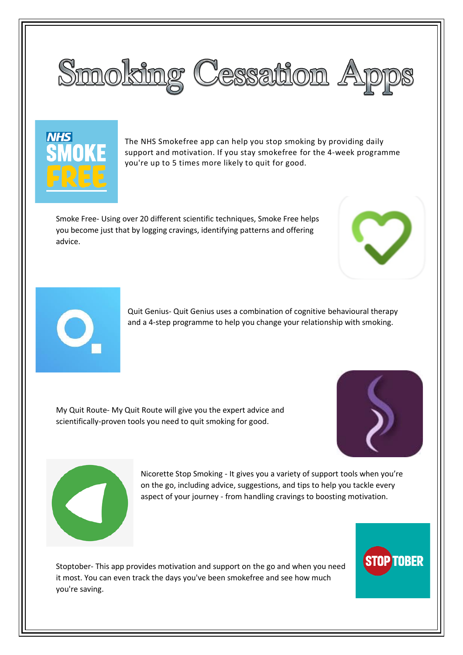



The NHS Smokefree app can help you stop smoking by providing daily support and motivation. If you stay smokefree for the 4-week programme you're up to 5 times more likely to quit for good.

Smoke Free- Using over 20 different scientific techniques, Smoke Free helps you become just that by logging cravings, identifying patterns and offering advice.





Quit Genius- Quit Genius uses a combination of cognitive behavioural therapy and a 4-step programme to help you change your relationship with smoking.

My Quit Route- My Quit Route will give you the expert advice and scientifically-proven tools you need to quit smoking for good.





Nicorette Stop Smoking - It gives you a variety of support tools when you're on the go, including advice, suggestions, and tips to help you tackle every aspect of your journey - from handling cravings to boosting motivation.

Stoptober- This app provides motivation and support on the go and when you need it most. You can even track the days you've been smokefree and see how much you're saving.